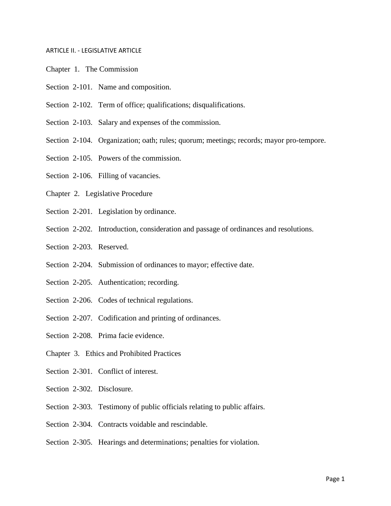## ARTICLE II. - LEGISLATIVE ARTICLE

- Chapter 1. The Commission
- Section 2-101. Name and composition.
- Section 2-102. Term of office; qualifications; disqualifications.
- Section 2-103. Salary and expenses of the commission.
- Section 2-104. Organization; oath; rules; quorum; meetings; records; mayor pro-tempore.
- Section 2-105. Powers of the commission.
- Section 2-106. Filling of vacancies.
- Chapter 2. Legislative Procedure
- Section 2-201. Legislation by ordinance.
- Section 2-202. Introduction, consideration and passage of ordinances and resolutions.
- Section 2-203. Reserved.
- Section 2-204. Submission of ordinances to mayor; effective date.
- Section 2-205. Authentication; recording.
- Section 2-206. Codes of technical regulations.
- Section 2-207. Codification and printing of ordinances.
- Section 2-208. Prima facie evidence.
- Chapter 3. Ethics and Prohibited Practices
- Section 2-301. Conflict of interest.
- Section 2-302. Disclosure.
- Section 2-303. Testimony of public officials relating to public affairs.
- Section 2-304. Contracts voidable and rescindable.
- Section 2-305. Hearings and determinations; penalties for violation.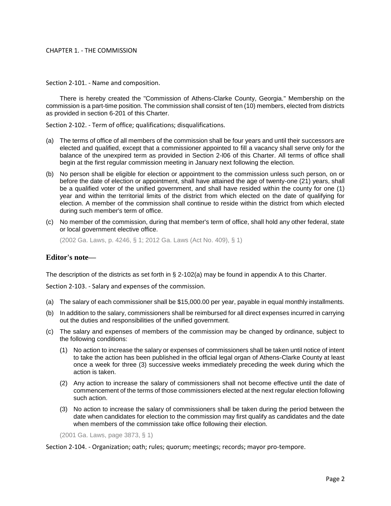## CHAPTER 1. - THE COMMISSION

Section 2-101. - Name and composition.

There is hereby created the "Commission of Athens-Clarke County, Georgia." Membership on the commission is a part-time position. The commission shall consist of ten (10) members, elected from districts as provided in section 6-201 of this Charter.

Section 2-102. - Term of office; qualifications; disqualifications.

- (a) The terms of office of all members of the commission shall be four years and until their successors are elected and qualified, except that a commissioner appointed to fill a vacancy shall serve only for the balance of the unexpired term as provided in Section 2-l06 of this Charter. All terms of office shall begin at the first regular commission meeting in January next following the election.
- (b) No person shall be eligible for election or appointment to the commission unless such person, on or before the date of election or appointment, shall have attained the age of twenty-one (21) years, shall be a qualified voter of the unified government, and shall have resided within the county for one (1) year and within the territorial limits of the district from which elected on the date of qualifying for election. A member of the commission shall continue to reside within the district from which elected during such member's term of office.
- (c) No member of the commission, during that member's term of office, shall hold any other federal, state or local government elective office.

(2002 Ga. Laws, p. 4246, § 1; 2012 Ga. Laws (Act No. 409), § 1)

# **Editor's note—**

The description of the districts as set forth in § 2-102(a) may be found in appendix A to this Charter.

Section 2-103. - Salary and expenses of the commission.

- (a) The salary of each commissioner shall be \$15,000.00 per year, payable in equal monthly installments.
- (b) In addition to the salary, commissioners shall be reimbursed for all direct expenses incurred in carrying out the duties and responsibilities of the unified government.
- (c) The salary and expenses of members of the commission may be changed by ordinance, subject to the following conditions:
	- (1) No action to increase the salary or expenses of commissioners shall be taken until notice of intent to take the action has been published in the official legal organ of Athens-Clarke County at least once a week for three (3) successive weeks immediately preceding the week during which the action is taken.
	- (2) Any action to increase the salary of commissioners shall not become effective until the date of commencement of the terms of those commissioners elected at the next regular election following such action.
	- (3) No action to increase the salary of commissioners shall be taken during the period between the date when candidates for election to the commission may first qualify as candidates and the date when members of the commission take office following their election.

(2001 Ga. Laws, page 3873, § 1)

Section 2-104. - Organization; oath; rules; quorum; meetings; records; mayor pro-tempore.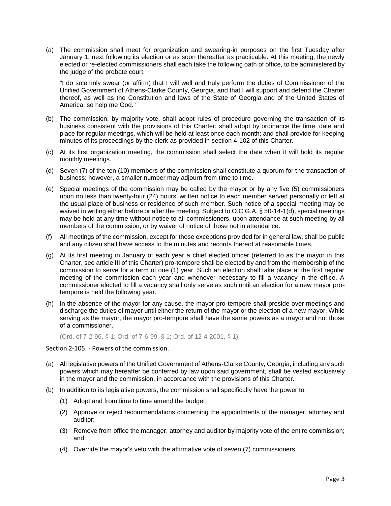(a) The commission shall meet for organization and swearing-in purposes on the first Tuesday after January 1, next following its election or as soon thereafter as practicable. At this meeting, the newly elected or re-elected commissioners shall each take the following oath of office, to be administered by the judge of the probate court:

"I do solemnly swear (or affirm) that I will well and truly perform the duties of Commissioner of the Unified Government of Athens-Clarke County, Georgia, and that I will support and defend the Charter thereof, as well as the Constitution and laws of the State of Georgia and of the United States of America, so help me God."

- (b) The commission, by majority vote, shall adopt rules of procedure governing the transaction of its business consistent with the provisions of this Charter; shall adopt by ordinance the time, date and place for regular meetings, which will be held at least once each month; and shall provide for keeping minutes of its proceedings by the clerk as provided in section 4-102 of this Charter.
- (c) At its first organization meeting, the commission shall select the date when it will hold its regular monthly meetings.
- (d) Seven (7) of the ten (10) members of the commission shall constitute a quorum for the transaction of business; however, a smaller number may adjourn from time to time.
- (e) Special meetings of the commission may be called by the mayor or by any five (5) commissioners upon no less than twenty-four (24) hours' written notice to each member served personally or left at the usual place of business or residence of such member. Such notice of a special meeting may be waived in writing either before or after the meeting. Subject to O.C.G.A. § 50-14-1(d), special meetings may be held at any time without notice to all commissioners, upon attendance at such meeting by all members of the commission, or by waiver of notice of those not in attendance.
- (f) All meetings of the commission, except for those exceptions provided for in general law, shall be public and any citizen shall have access to the minutes and records thereof at reasonable times.
- (g) At its first meeting in January of each year a chief elected officer (referred to as the mayor in this Charter, see article III of this Charter) pro-tempore shall be elected by and from the membership of the commission to serve for a term of one (1) year. Such an election shall take place at the first regular meeting of the commission each year and whenever necessary to fill a vacancy in the office. A commissioner elected to fill a vacancy shall only serve as such until an election for a new mayor protempore is held the following year.
- (h) In the absence of the mayor for any cause, the mayor pro-tempore shall preside over meetings and discharge the duties of mayor until either the return of the mayor or the election of a new mayor. While serving as the mayor, the mayor pro-tempore shall have the same powers as a mayor and not those of a commissioner.

(Ord. of 7-2-96, § 1; Ord. of 7-6-99, § 1; Ord. of 12-4-2001, § 1)

Section 2-105. - Powers of the commission.

- (a) All legislative powers of the Unified Government of Athens-Clarke County, Georgia, including any such powers which may hereafter be conferred by law upon said government, shall be vested exclusively in the mayor and the commission, in accordance with the provisions of this Charter.
- (b) In addition to its legislative powers, the commission shall specifically have the power to:
	- (1) Adopt and from time to time amend the budget;
	- (2) Approve or reject recommendations concerning the appointments of the manager, attorney and auditor;
	- (3) Remove from office the manager, attorney and auditor by majority vote of the entire commission; and
	- (4) Override the mayor's veto with the affirmative vote of seven (7) commissioners.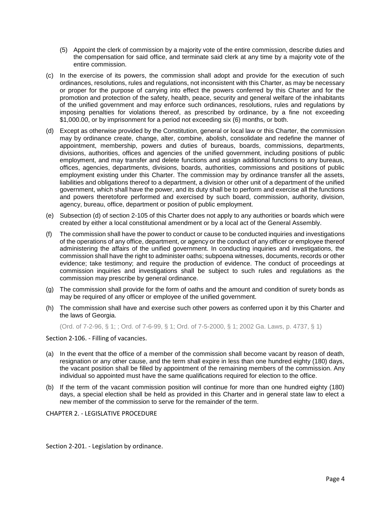- (5) Appoint the clerk of commission by a majority vote of the entire commission, describe duties and the compensation for said office, and terminate said clerk at any time by a majority vote of the entire commission.
- (c) In the exercise of its powers, the commission shall adopt and provide for the execution of such ordinances, resolutions, rules and regulations, not inconsistent with this Charter, as may be necessary or proper for the purpose of carrying into effect the powers conferred by this Charter and for the promotion and protection of the safety, health, peace, security and general welfare of the inhabitants of the unified government and may enforce such ordinances, resolutions, rules and regulations by imposing penalties for violations thereof, as prescribed by ordinance, by a fine not exceeding \$1,000.00, or by imprisonment for a period not exceeding six (6) months, or both.
- (d) Except as otherwise provided by the Constitution, general or local law or this Charter, the commission may by ordinance create, change, alter, combine, abolish, consolidate and redefine the manner of appointment, membership, powers and duties of bureaus, boards, commissions, departments, divisions, authorities, offices and agencies of the unified government, including positions of public employment, and may transfer and delete functions and assign additional functions to any bureaus, offices, agencies, departments, divisions, boards, authorities, commissions and positions of public employment existing under this Charter. The commission may by ordinance transfer all the assets, liabilities and obligations thereof to a department, a division or other unit of a department of the unified government, which shall have the power, and its duty shall be to perform and exercise all the functions and powers theretofore performed and exercised by such board, commission, authority, division, agency, bureau, office, department or position of public employment.
- (e) Subsection (d) of section 2-105 of this Charter does not apply to any authorities or boards which were created by either a local constitutional amendment or by a local act of the General Assembly.
- (f) The commission shall have the power to conduct or cause to be conducted inquiries and investigations of the operations of any office, department, or agency or the conduct of any officer or employee thereof administering the affairs of the unified government. In conducting inquiries and investigations, the commission shall have the right to administer oaths; subpoena witnesses, documents, records or other evidence; take testimony; and require the production of evidence. The conduct of proceedings at commission inquiries and investigations shall be subject to such rules and regulations as the commission may prescribe by general ordinance.
- (g) The commission shall provide for the form of oaths and the amount and condition of surety bonds as may be required of any officer or employee of the unified government.
- (h) The commission shall have and exercise such other powers as conferred upon it by this Charter and the laws of Georgia.

(Ord. of 7-2-96, § 1; ; Ord. of 7-6-99, § 1; Ord. of 7-5-2000, § 1; 2002 Ga. Laws, p. 4737, § 1)

Section 2-106. - Filling of vacancies.

- (a) In the event that the office of a member of the commission shall become vacant by reason of death, resignation or any other cause, and the term shall expire in less than one hundred eighty (180) days, the vacant position shall be filled by appointment of the remaining members of the commission. Any individual so appointed must have the same qualifications required for election to the office.
- (b) If the term of the vacant commission position will continue for more than one hundred eighty (180) days, a special election shall be held as provided in this Charter and in general state law to elect a new member of the commission to serve for the remainder of the term.

CHAPTER 2. - LEGISLATIVE PROCEDURE

Section 2-201. - Legislation by ordinance.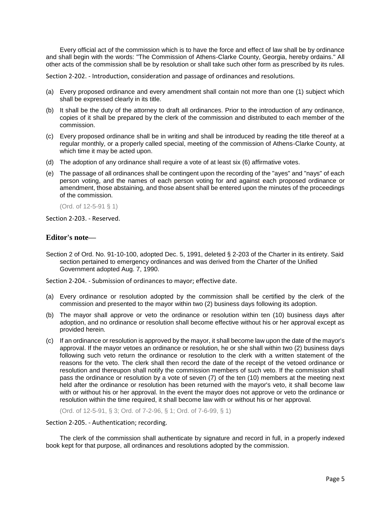Every official act of the commission which is to have the force and effect of law shall be by ordinance and shall begin with the words: "The Commission of Athens-Clarke County, Georgia, hereby ordains." All other acts of the commission shall be by resolution or shall take such other form as prescribed by its rules.

Section 2-202. - Introduction, consideration and passage of ordinances and resolutions.

- (a) Every proposed ordinance and every amendment shall contain not more than one (1) subject which shall be expressed clearly in its title.
- (b) It shall be the duty of the attorney to draft all ordinances. Prior to the introduction of any ordinance, copies of it shall be prepared by the clerk of the commission and distributed to each member of the commission.
- (c) Every proposed ordinance shall be in writing and shall be introduced by reading the title thereof at a regular monthly, or a properly called special, meeting of the commission of Athens-Clarke County, at which time it may be acted upon.
- (d) The adoption of any ordinance shall require a vote of at least six (6) affirmative votes.
- (e) The passage of all ordinances shall be contingent upon the recording of the "ayes" and "nays" of each person voting, and the names of each person voting for and against each proposed ordinance or amendment, those abstaining, and those absent shall be entered upon the minutes of the proceedings of the commission.

(Ord. of 12-5-91 § 1)

Section 2-203. - Reserved.

# **Editor's note—**

Section 2 of Ord. No. 91-10-100, adopted Dec. 5, 1991, deleted § 2-203 of the Charter in its entirety. Said section pertained to emergency ordinances and was derived from the Charter of the Unified Government adopted Aug. 7, 1990.

Section 2-204. - Submission of ordinances to mayor; effective date.

- (a) Every ordinance or resolution adopted by the commission shall be certified by the clerk of the commission and presented to the mayor within two (2) business days following its adoption.
- (b) The mayor shall approve or veto the ordinance or resolution within ten (10) business days after adoption, and no ordinance or resolution shall become effective without his or her approval except as provided herein.
- (c) If an ordinance or resolution is approved by the mayor, it shall become law upon the date of the mayor's approval. If the mayor vetoes an ordinance or resolution, he or she shall within two (2) business days following such veto return the ordinance or resolution to the clerk with a written statement of the reasons for the veto. The clerk shall then record the date of the receipt of the vetoed ordinance or resolution and thereupon shall notify the commission members of such veto. If the commission shall pass the ordinance or resolution by a vote of seven (7) of the ten (10) members at the meeting next held after the ordinance or resolution has been returned with the mayor's veto, it shall become law with or without his or her approval. In the event the mayor does not approve or veto the ordinance or resolution within the time required, it shall become law with or without his or her approval.

(Ord. of 12-5-91, § 3; Ord. of 7-2-96, § 1; Ord. of 7-6-99, § 1)

#### Section 2-205. - Authentication; recording.

The clerk of the commission shall authenticate by signature and record in full, in a properly indexed book kept for that purpose, all ordinances and resolutions adopted by the commission.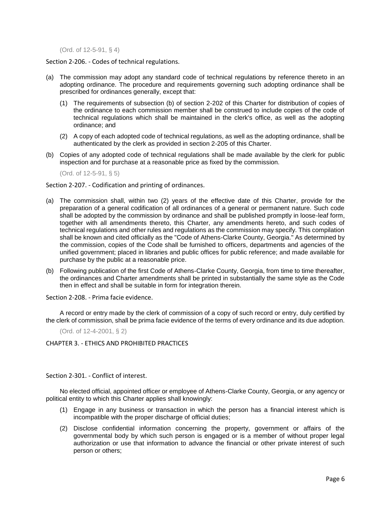(Ord. of 12-5-91, § 4)

Section 2-206. - Codes of technical regulations.

- (a) The commission may adopt any standard code of technical regulations by reference thereto in an adopting ordinance. The procedure and requirements governing such adopting ordinance shall be prescribed for ordinances generally, except that:
	- (1) The requirements of subsection (b) of section 2-202 of this Charter for distribution of copies of the ordinance to each commission member shall be construed to include copies of the code of technical regulations which shall be maintained in the clerk's office, as well as the adopting ordinance; and
	- (2) A copy of each adopted code of technical regulations, as well as the adopting ordinance, shall be authenticated by the clerk as provided in section 2-205 of this Charter.
- (b) Copies of any adopted code of technical regulations shall be made available by the clerk for public inspection and for purchase at a reasonable price as fixed by the commission.

(Ord. of 12-5-91, § 5)

Section 2-207. - Codification and printing of ordinances.

- (a) The commission shall, within two (2) years of the effective date of this Charter, provide for the preparation of a general codification of all ordinances of a general or permanent nature. Such code shall be adopted by the commission by ordinance and shall be published promptly in loose-leaf form, together with all amendments thereto, this Charter, any amendments hereto, and such codes of technical regulations and other rules and regulations as the commission may specify. This compilation shall be known and cited officially as the "Code of Athens-Clarke County, Georgia." As determined by the commission, copies of the Code shall be furnished to officers, departments and agencies of the unified government; placed in libraries and public offices for public reference; and made available for purchase by the public at a reasonable price.
- (b) Following publication of the first Code of Athens-Clarke County, Georgia, from time to time thereafter, the ordinances and Charter amendments shall be printed in substantially the same style as the Code then in effect and shall be suitable in form for integration therein.

Section 2-208. - Prima facie evidence.

A record or entry made by the clerk of commission of a copy of such record or entry, duly certified by the clerk of commission, shall be prima facie evidence of the terms of every ordinance and its due adoption.

(Ord. of 12-4-2001, § 2)

CHAPTER 3. - ETHICS AND PROHIBITED PRACTICES

Section 2-301. - Conflict of interest.

No elected official, appointed officer or employee of Athens-Clarke County, Georgia, or any agency or political entity to which this Charter applies shall knowingly:

- (1) Engage in any business or transaction in which the person has a financial interest which is incompatible with the proper discharge of official duties;
- (2) Disclose confidential information concerning the property, government or affairs of the governmental body by which such person is engaged or is a member of without proper legal authorization or use that information to advance the financial or other private interest of such person or others;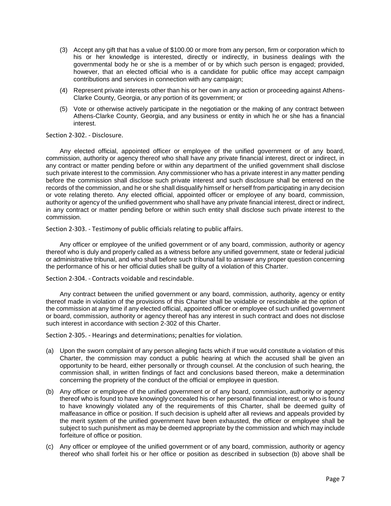- (3) Accept any gift that has a value of \$100.00 or more from any person, firm or corporation which to his or her knowledge is interested, directly or indirectly, in business dealings with the governmental body he or she is a member of or by which such person is engaged; provided, however, that an elected official who is a candidate for public office may accept campaign contributions and services in connection with any campaign;
- (4) Represent private interests other than his or her own in any action or proceeding against Athens-Clarke County, Georgia, or any portion of its government; or
- (5) Vote or otherwise actively participate in the negotiation or the making of any contract between Athens-Clarke County, Georgia, and any business or entity in which he or she has a financial interest.

Section 2-302. - Disclosure.

Any elected official, appointed officer or employee of the unified government or of any board, commission, authority or agency thereof who shall have any private financial interest, direct or indirect, in any contract or matter pending before or within any department of the unified government shall disclose such private interest to the commission. Any commissioner who has a private interest in any matter pending before the commission shall disclose such private interest and such disclosure shall be entered on the records of the commission, and he or she shall disqualify himself or herself from participating in any decision or vote relating thereto. Any elected official, appointed officer or employee of any board, commission, authority or agency of the unified government who shall have any private financial interest, direct or indirect, in any contract or matter pending before or within such entity shall disclose such private interest to the commission.

Section 2-303. - Testimony of public officials relating to public affairs.

Any officer or employee of the unified government or of any board, commission, authority or agency thereof who is duly and properly called as a witness before any unified government, state or federal judicial or administrative tribunal, and who shall before such tribunal fail to answer any proper question concerning the performance of his or her official duties shall be guilty of a violation of this Charter.

Section 2-304. - Contracts voidable and rescindable.

Any contract between the unified government or any board, commission, authority, agency or entity thereof made in violation of the provisions of this Charter shall be voidable or rescindable at the option of the commission at any time if any elected official, appointed officer or employee of such unified government or board, commission, authority or agency thereof has any interest in such contract and does not disclose such interest in accordance with section 2-302 of this Charter.

Section 2-305. - Hearings and determinations; penalties for violation.

- (a) Upon the sworn complaint of any person alleging facts which if true would constitute a violation of this Charter, the commission may conduct a public hearing at which the accused shall be given an opportunity to be heard, either personally or through counsel. At the conclusion of such hearing, the commission shall, in written findings of fact and conclusions based thereon, make a determination concerning the propriety of the conduct of the official or employee in question.
- (b) Any officer or employee of the unified government or of any board, commission, authority or agency thereof who is found to have knowingly concealed his or her personal financial interest, or who is found to have knowingly violated any of the requirements of this Charter, shall be deemed guilty of malfeasance in office or position. If such decision is upheld after all reviews and appeals provided by the merit system of the unified government have been exhausted, the officer or employee shall be subject to such punishment as may be deemed appropriate by the commission and which may include forfeiture of office or position.
- (c) Any officer or employee of the unified government or of any board, commission, authority or agency thereof who shall forfeit his or her office or position as described in subsection (b) above shall be